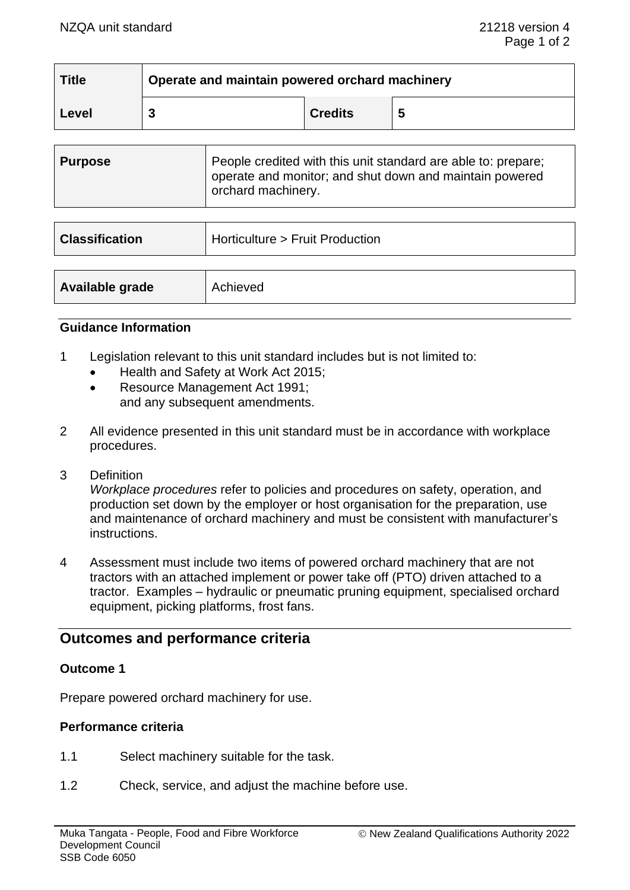| <b>Title</b> | Operate and maintain powered orchard machinery |                |   |  |
|--------------|------------------------------------------------|----------------|---|--|
| Level        |                                                | <b>Credits</b> | 5 |  |

| <b>Purpose</b> | People credited with this unit standard are able to: prepare;<br>operate and monitor; and shut down and maintain powered<br>orchard machinery. |
|----------------|------------------------------------------------------------------------------------------------------------------------------------------------|
|                |                                                                                                                                                |

| <b>Classification</b> | Horticulture > Fruit Production |
|-----------------------|---------------------------------|
|                       |                                 |
| Available grade       | Achieved                        |

#### **Guidance Information**

- 1 Legislation relevant to this unit standard includes but is not limited to:
	- Health and Safety at Work Act 2015;
	- Resource Management Act 1991; and any subsequent amendments.
- 2 All evidence presented in this unit standard must be in accordance with workplace procedures.
- 3 Definition

*Workplace procedures* refer to policies and procedures on safety, operation, and production set down by the employer or host organisation for the preparation, use and maintenance of orchard machinery and must be consistent with manufacturer's instructions.

4 Assessment must include two items of powered orchard machinery that are not tractors with an attached implement or power take off (PTO) driven attached to a tractor. Examples – hydraulic or pneumatic pruning equipment, specialised orchard equipment, picking platforms, frost fans.

# **Outcomes and performance criteria**

### **Outcome 1**

Prepare powered orchard machinery for use.

### **Performance criteria**

- 1.1 Select machinery suitable for the task.
- 1.2 Check, service, and adjust the machine before use.